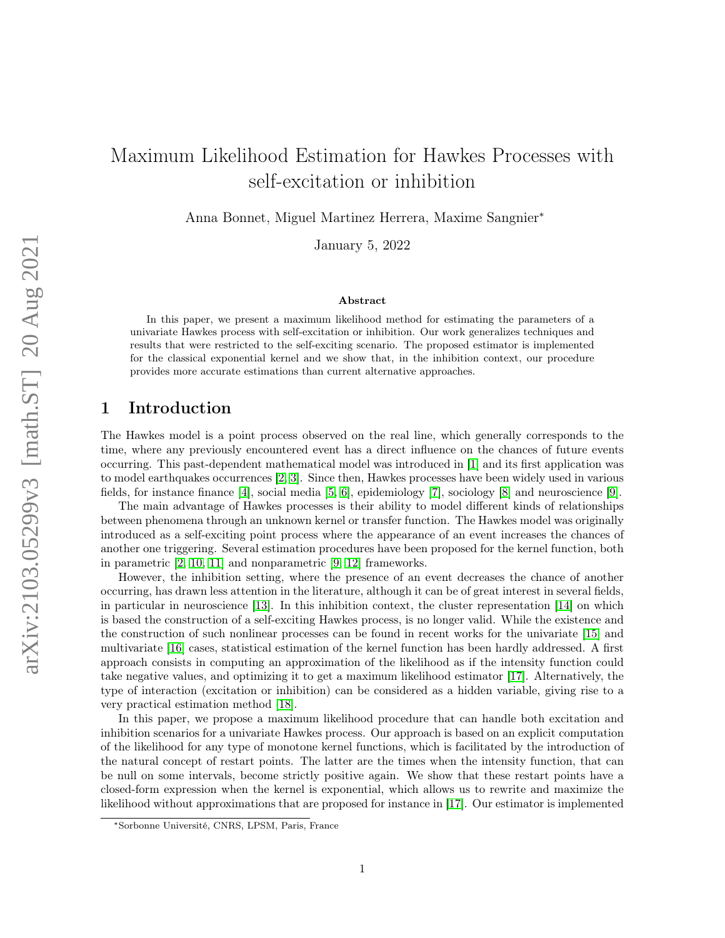# Maximum Likelihood Estimation for Hawkes Processes with self-excitation or inhibition

Anna Bonnet, Miguel Martinez Herrera, Maxime Sangnier<sup>∗</sup>

January 5, 2022

#### Abstract

In this paper, we present a maximum likelihood method for estimating the parameters of a univariate Hawkes process with self-excitation or inhibition. Our work generalizes techniques and results that were restricted to the self-exciting scenario. The proposed estimator is implemented for the classical exponential kernel and we show that, in the inhibition context, our procedure provides more accurate estimations than current alternative approaches.

# 1 Introduction

The Hawkes model is a point process observed on the real line, which generally corresponds to the time, where any previously encountered event has a direct influence on the chances of future events occurring. This past-dependent mathematical model was introduced in [\[1\]](#page-6-0) and its first application was to model earthquakes occurrences [\[2,](#page-6-1) [3\]](#page-6-2). Since then, Hawkes processes have been widely used in various fields, for instance finance [\[4\]](#page-6-3), social media [\[5,](#page-6-4) [6\]](#page-6-5), epidemiology [\[7\]](#page-7-0), sociology [\[8\]](#page-7-1) and neuroscience [\[9\]](#page-7-2).

The main advantage of Hawkes processes is their ability to model different kinds of relationships between phenomena through an unknown kernel or transfer function. The Hawkes model was originally introduced as a self-exciting point process where the appearance of an event increases the chances of another one triggering. Several estimation procedures have been proposed for the kernel function, both in parametric [\[2,](#page-6-1) [10,](#page-7-3) [11\]](#page-7-4) and nonparametric [\[9,](#page-7-2) [12\]](#page-7-5) frameworks.

However, the inhibition setting, where the presence of an event decreases the chance of another occurring, has drawn less attention in the literature, although it can be of great interest in several fields, in particular in neuroscience [\[13\]](#page-7-6). In this inhibition context, the cluster representation [\[14\]](#page-7-7) on which is based the construction of a self-exciting Hawkes process, is no longer valid. While the existence and the construction of such nonlinear processes can be found in recent works for the univariate [\[15\]](#page-7-8) and multivariate [\[16\]](#page-7-9) cases, statistical estimation of the kernel function has been hardly addressed. A first approach consists in computing an approximation of the likelihood as if the intensity function could take negative values, and optimizing it to get a maximum likelihood estimator [\[17\]](#page-7-10). Alternatively, the type of interaction (excitation or inhibition) can be considered as a hidden variable, giving rise to a very practical estimation method [\[18\]](#page-7-11).

In this paper, we propose a maximum likelihood procedure that can handle both excitation and inhibition scenarios for a univariate Hawkes process. Our approach is based on an explicit computation of the likelihood for any type of monotone kernel functions, which is facilitated by the introduction of the natural concept of restart points. The latter are the times when the intensity function, that can be null on some intervals, become strictly positive again. We show that these restart points have a closed-form expression when the kernel is exponential, which allows us to rewrite and maximize the likelihood without approximations that are proposed for instance in [\[17\]](#page-7-10). Our estimator is implemented

<sup>∗</sup>Sorbonne Université, CNRS, LPSM, Paris, France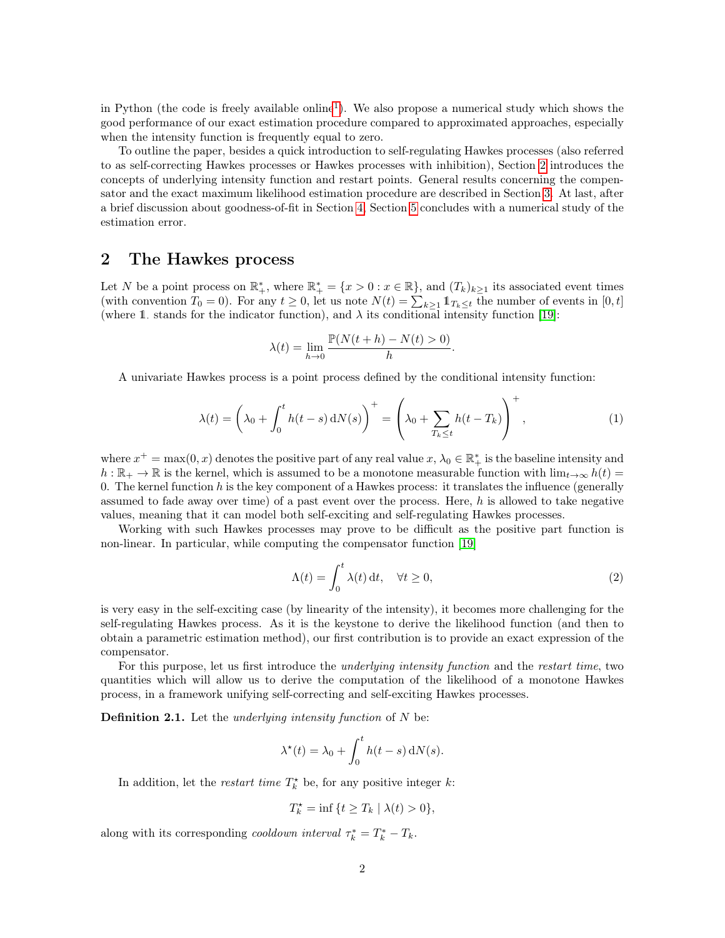in Python (the code is freely available online<sup>[1](#page-2-0)</sup>). We also propose a numerical study which shows the good performance of our exact estimation procedure compared to approximated approaches, especially when the intensity function is frequently equal to zero.

To outline the paper, besides a quick introduction to self-regulating Hawkes processes (also referred to as self-correcting Hawkes processes or Hawkes processes with inhibition), Section [2](#page-1-0) introduces the concepts of underlying intensity function and restart points. General results concerning the compensator and the exact maximum likelihood estimation procedure are described in Section [3.](#page-2-1) At last, after a brief discussion about goodness-of-fit in Section [4,](#page-4-0) Section [5](#page-4-1) concludes with a numerical study of the estimation error.

#### <span id="page-1-0"></span>2 The Hawkes process

Let N be a point process on  $\mathbb{R}^*_+$ , where  $\mathbb{R}^*_+ = \{x > 0 : x \in \mathbb{R}\}$ , and  $(T_k)_{k \geq 1}$  its associated event times (with convention  $T_0 = 0$ ). For any  $t \ge 0$ , let us note  $N(t) = \sum_{k \ge 1} \mathbb{1}_{T_k \le t}$  the number of events in  $[0, t]$ (where 1. stands for the indicator function), and  $\lambda$  its conditional intensity function [\[19\]](#page-7-12):

$$
\lambda(t) = \lim_{h \to 0} \frac{\mathbb{P}(N(t+h) - N(t) > 0)}{h}.
$$

A univariate Hawkes process is a point process defined by the conditional intensity function:

$$
\lambda(t) = \left(\lambda_0 + \int_0^t h(t-s) dN(s)\right)^+ = \left(\lambda_0 + \sum_{T_k \le t} h(t-T_k)\right)^+, \tag{1}
$$

where  $x^+ = \max(0, x)$  denotes the positive part of any real value  $x, \lambda_0 \in \mathbb{R}^*_+$  is the baseline intensity and  $h : \mathbb{R}_+ \to \mathbb{R}$  is the kernel, which is assumed to be a monotone measurable function with  $\lim_{t\to\infty} h(t) =$ 0. The kernel function  $h$  is the key component of a Hawkes process: it translates the influence (generally assumed to fade away over time) of a past event over the process. Here,  $h$  is allowed to take negative values, meaning that it can model both self-exciting and self-regulating Hawkes processes.

Working with such Hawkes processes may prove to be difficult as the positive part function is non-linear. In particular, while computing the compensator function [\[19\]](#page-7-12)

<span id="page-1-1"></span>
$$
\Lambda(t) = \int_0^t \lambda(t) dt, \quad \forall t \ge 0,
$$
\n(2)

is very easy in the self-exciting case (by linearity of the intensity), it becomes more challenging for the self-regulating Hawkes process. As it is the keystone to derive the likelihood function (and then to obtain a parametric estimation method), our first contribution is to provide an exact expression of the compensator.

For this purpose, let us first introduce the *underlying intensity function* and the *restart time*, two quantities which will allow us to derive the computation of the likelihood of a monotone Hawkes process, in a framework unifying self-correcting and self-exciting Hawkes processes.

<span id="page-1-2"></span>**Definition 2.1.** Let the *underlying intensity function* of  $N$  be:

$$
\lambda^*(t) = \lambda_0 + \int_0^t h(t-s) \,dN(s).
$$

In addition, let the *restart time*  $T_k^*$  be, for any positive integer k:

$$
T_k^\star=\inf\,\{t\geq T_k\mid \lambda(t)>0\},
$$

along with its corresponding *cooldown interval*  $\tau_k^* = T_k^* - T_k$ .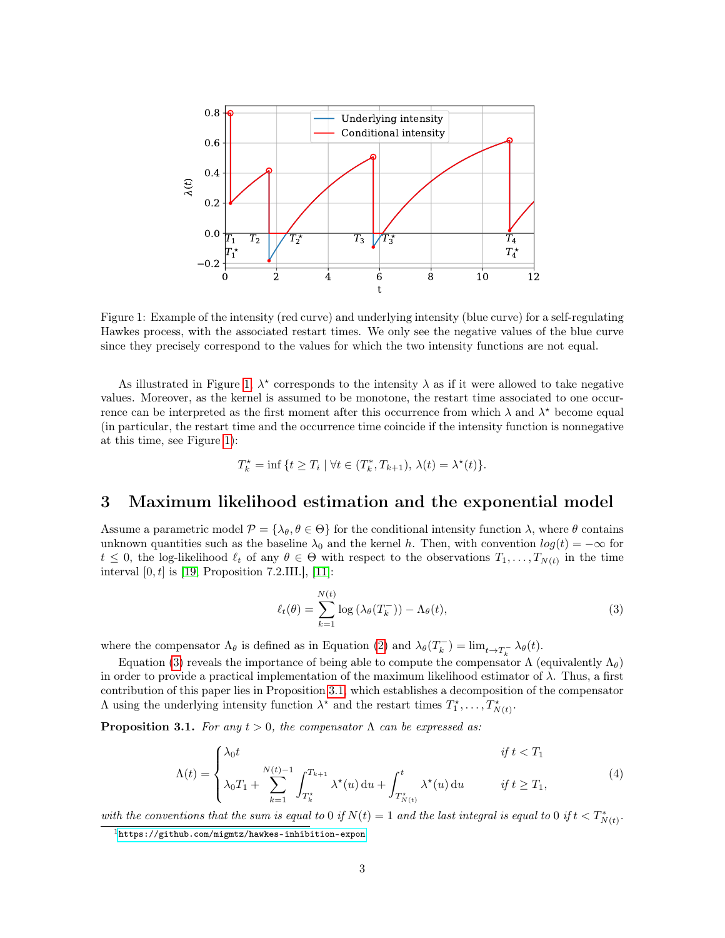<span id="page-2-2"></span>

Figure 1: Example of the intensity (red curve) and underlying intensity (blue curve) for a self-regulating Hawkes process, with the associated restart times. We only see the negative values of the blue curve since they precisely correspond to the values for which the two intensity functions are not equal.

As illustrated in Figure [1,](#page-2-2)  $\lambda^*$  corresponds to the intensity  $\lambda$  as if it were allowed to take negative values. Moreover, as the kernel is assumed to be monotone, the restart time associated to one occurrence can be interpreted as the first moment after this occurrence from which  $\lambda$  and  $\lambda^*$  become equal (in particular, the restart time and the occurrence time coincide if the intensity function is nonnegative at this time, see Figure [1\)](#page-2-2):

$$
T_k^* = \inf \{ t \ge T_i \mid \forall t \in (T_k^*, T_{k+1}), \lambda(t) = \lambda^*(t) \}.
$$

#### <span id="page-2-1"></span>3 Maximum likelihood estimation and the exponential model

Assume a parametric model  $\mathcal{P} = {\lambda_{\theta}, \theta \in \Theta}$  for the conditional intensity function  $\lambda$ , where  $\theta$  contains unknown quantities such as the baseline  $\lambda_0$  and the kernel h. Then, with convention  $log(t) = -\infty$  for  $t \leq 0$ , the log-likelihood  $\ell_t$  of any  $\theta \in \Theta$  with respect to the observations  $T_1, \ldots, T_{N(t)}$  in the time interval  $[0, t]$  is [\[19,](#page-7-12) Proposition 7.2.III.], [\[11\]](#page-7-4):

<span id="page-2-3"></span>
$$
\ell_t(\theta) = \sum_{k=1}^{N(t)} \log \left( \lambda_\theta(T_k^-) \right) - \Lambda_\theta(t),\tag{3}
$$

where the compensator  $\Lambda_{\theta}$  is defined as in Equation [\(2\)](#page-1-1) and  $\lambda_{\theta}(T_k^-) = \lim_{t \to T_k^-} \lambda_{\theta}(t)$ .

Equation [\(3\)](#page-2-3) reveals the importance of being able to compute the compensator  $\Lambda$  (equivalently  $\Lambda_{\theta}$ ) in order to provide a practical implementation of the maximum likelihood estimator of  $\lambda$ . Thus, a first contribution of this paper lies in Proposition [3.1,](#page-2-4) which establishes a decomposition of the compensator  $\Lambda$  using the underlying intensity function  $\lambda^*$  and the restart times  $T_1^*, \ldots, T_{N(t)}^*$ .

<span id="page-2-5"></span><span id="page-2-4"></span>**Proposition 3.1.** For any  $t > 0$ , the compensator  $\Lambda$  can be expressed as:

$$
\Lambda(t) = \begin{cases}\n\lambda_0 t & \text{if } t < T_1 \\
\lambda_0 T_1 + \sum_{k=1}^{N(t)-1} \int_{T_k^\star}^{T_{k+1}} \lambda^\star(u) \, \mathrm{d}u + \int_{T_{N(t)}^\star}^t \lambda^\star(u) \, \mathrm{d}u & \text{if } t \ge T_1,\n\end{cases} \tag{4}
$$

with the conventions that the sum is equal to 0 if  $N(t) = 1$  and the last integral is equal to 0 if  $t < T^*_{N(t)}$ .

<span id="page-2-0"></span><sup>1</sup><https://github.com/migmtz/hawkes-inhibition-expon>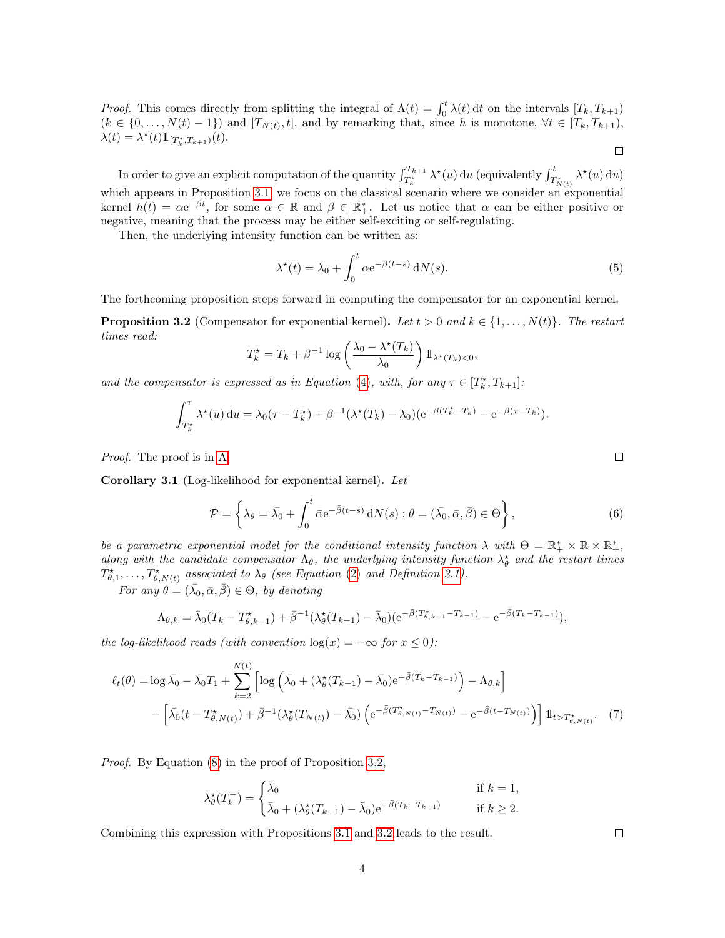*Proof.* This comes directly from splitting the integral of  $\Lambda(t) = \int_0^t \lambda(t) dt$  on the intervals  $[T_k, T_{k+1})$  $(k \in \{0, \ldots, N(t)-1\})$  and  $[T_{N(t)}, t]$ , and by remarking that, since h is monotone,  $\forall t \in [T_k, T_{k+1}),$  $\lambda(t) = \lambda^*(t) 1\!\!1_{[T^*_k, T_{k+1})}(t).$  $\Box$ 

In order to give an explicit computation of the quantity  $\int_{T_k^*}^{T_{k+1}} \lambda^*(u) du$  (equivalently  $\int_{T_{N(t)}^*}^t \lambda^*(u) du$ ) which appears in Proposition [3.1,](#page-2-4) we focus on the classical scenario where we consider an exponential kernel  $h(t) = \alpha e^{-\beta t}$ , for some  $\alpha \in \mathbb{R}$  and  $\beta \in \mathbb{R}^*_+$ . Let us notice that  $\alpha$  can be either positive or negative, meaning that the process may be either self-exciting or self-regulating.

Then, the underlying intensity function can be written as:

$$
\lambda^*(t) = \lambda_0 + \int_0^t \alpha e^{-\beta(t-s)} dN(s).
$$
 (5)

The forthcoming proposition steps forward in computing the compensator for an exponential kernel.

<span id="page-3-0"></span>**Proposition 3.2** (Compensator for exponential kernel). Let  $t > 0$  and  $k \in \{1, \ldots, N(t)\}$ . The restart times read:

$$
T_k^* = T_k + \beta^{-1} \log \left( \frac{\lambda_0 - \lambda^*(T_k)}{\lambda_0} \right) \mathbb{1}_{\lambda^*(T_k) < 0},
$$

and the compensator is expressed as in Equation [\(4\)](#page-2-5), with, for any  $\tau \in [T_k^*, T_{k+1}]$ :

$$
\int_{T_k^{\star}}^{\tau} \lambda^{\star}(u) du = \lambda_0(\tau - T_k^{\star}) + \beta^{-1}(\lambda^{\star}(T_k) - \lambda_0)(e^{-\beta(T_k^{\star} - T_k)} - e^{-\beta(\tau - T_k)}).
$$

Proof. The proof is in [A.](#page-8-0)

Corollary 3.1 (Log-likelihood for exponential kernel). Let

<span id="page-3-2"></span>
$$
\mathcal{P} = \left\{ \lambda_{\theta} = \bar{\lambda}_{0} + \int_{0}^{t} \bar{\alpha} e^{-\bar{\beta}(t-s)} dN(s) : \theta = (\bar{\lambda}_{0}, \bar{\alpha}, \bar{\beta}) \in \Theta \right\},\tag{6}
$$

be a parametric exponential model for the conditional intensity function  $\lambda$  with  $\Theta = \mathbb{R}_+^* \times \mathbb{R} \times \mathbb{R}_+^*$ , along with the candidate compensator  $\Lambda_{\theta}$ , the underlying intensity function  $\lambda_{\theta}^*$  and the restart times  $T^*_{\theta,1}, \ldots, T^*_{\theta,N(t)}$  associated to  $\lambda_\theta$  (see Equation [\(2\)](#page-1-1) and Definition [2.1\)](#page-1-2).

For any  $\theta = (\bar{\lambda_0}, \bar{\alpha}, \bar{\beta}) \in \Theta$ , by denoting

$$
\Lambda_{\theta,k} = \bar{\lambda}_0 (T_k - T^*_{\theta,k-1}) + \bar{\beta}^{-1} (\lambda^*_{\theta}(T_{k-1}) - \bar{\lambda}_0) (e^{-\bar{\beta}(T^*_{\theta,k-1} - T_{k-1})} - e^{-\bar{\beta}(T_k - T_{k-1})}),
$$

the log-likelihood reads (with convention  $log(x) = -\infty$  for  $x \leq 0$ ):

$$
\ell_t(\theta) = \log \bar{\lambda_0} - \bar{\lambda_0} T_1 + \sum_{k=2}^{N(t)} \left[ \log \left( \bar{\lambda_0} + (\lambda_{\theta}^{\star}(T_{k-1}) - \bar{\lambda_0}) e^{-\bar{\beta}(T_k - T_{k-1})} \right) - \Lambda_{\theta,k} \right] - \left[ \bar{\lambda_0} (t - T_{\theta,N(t)}^{\star}) + \bar{\beta}^{-1} (\lambda_{\theta}^{\star}(T_{N(t)}) - \bar{\lambda_0}) \left( e^{-\bar{\beta}(T_{\theta,N(t)}^{\star} - T_{N(t)})} - e^{-\bar{\beta}(t - T_{N(t)})} \right) \right] \mathbb{1}_{t > T_{\theta,N(t)}^{\star}}.
$$
 (7)

Proof. By Equation [\(8\)](#page-8-1) in the proof of Proposition [3.2,](#page-3-0)

$$
\lambda_{\theta}^{\star}(T_k^-) = \begin{cases} \bar{\lambda}_0 & \text{if } k = 1, \\ \bar{\lambda}_0 + (\lambda_{\theta}^{\star}(T_{k-1}) - \bar{\lambda}_0) e^{-\bar{\beta}(T_k - T_{k-1})} & \text{if } k \ge 2. \end{cases}
$$

Combining this expression with Propositions [3.1](#page-2-4) and [3.2](#page-3-0) leads to the result.

<span id="page-3-1"></span>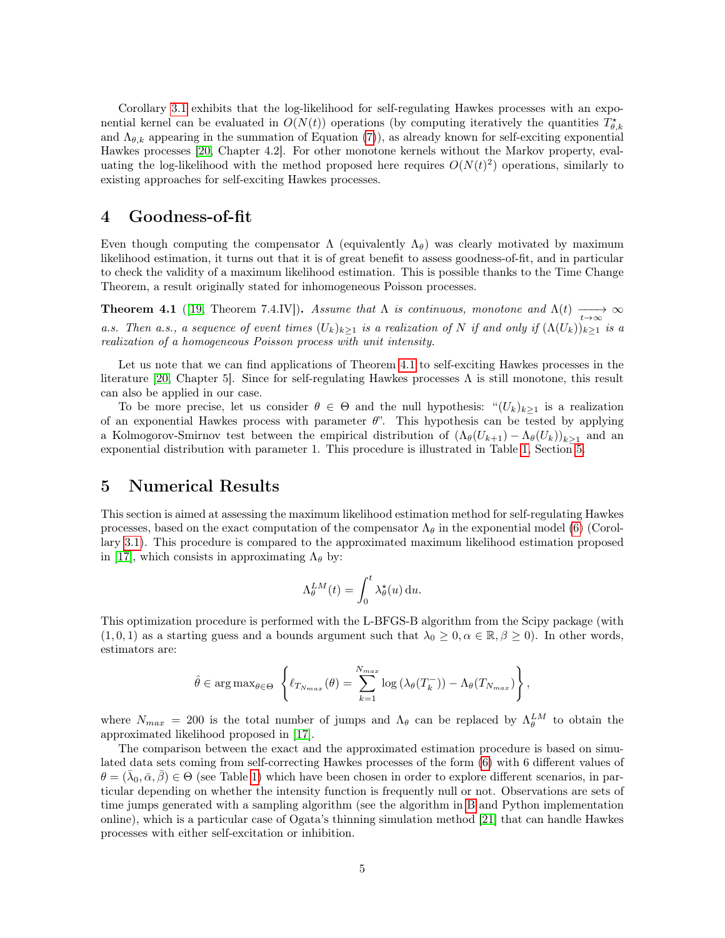Corollary [3.1](#page-3-1) exhibits that the log-likelihood for self-regulating Hawkes processes with an exponential kernel can be evaluated in  $O(N(t))$  operations (by computing iteratively the quantities  $T^*_{\theta,k}$ and  $\Lambda_{\theta,k}$  appearing in the summation of Equation [\(7\)](#page-3-1)), as already known for self-exciting exponential Hawkes processes [\[20,](#page-7-13) Chapter 4.2]. For other monotone kernels without the Markov property, evaluating the log-likelihood with the method proposed here requires  $O(N(t)^2)$  operations, similarly to existing approaches for self-exciting Hawkes processes.

## <span id="page-4-0"></span>4 Goodness-of-fit

Even though computing the compensator  $\Lambda$  (equivalently  $\Lambda_{\theta}$ ) was clearly motivated by maximum likelihood estimation, it turns out that it is of great benefit to assess goodness-of-fit, and in particular to check the validity of a maximum likelihood estimation. This is possible thanks to the Time Change Theorem, a result originally stated for inhomogeneous Poisson processes.

<span id="page-4-2"></span>**Theorem 4.1** ([\[19,](#page-7-12) Theorem 7.4.IV]). Assume that  $\Lambda$  is continuous, monotone and  $\Lambda(t) \longrightarrow_{t\to\infty} \infty$ a.s. Then a.s., a sequence of event times  $(U_k)_{k\geq 1}$  is a realization of N if and only if  $(\Lambda(U_k))_{k\geq 1}$  is a realization of a homogeneous Poisson process with unit intensity.

Let us note that we can find applications of Theorem [4.1](#page-4-2) to self-exciting Hawkes processes in the literature [\[20,](#page-7-13) Chapter 5]. Since for self-regulating Hawkes processes  $\Lambda$  is still monotone, this result can also be applied in our case.

To be more precise, let us consider  $\theta \in \Theta$  and the null hypothesis: " $(U_k)_{k>1}$  is a realization of an exponential Hawkes process with parameter  $\theta$ ". This hypothesis can be tested by applying a Kolmogorov-Smirnov test between the empirical distribution of  $(\Lambda_{\theta}(U_{k+1}) - \Lambda_{\theta}(U_k))_{k\geq 1}$  and an exponential distribution with parameter 1. This procedure is illustrated in Table [1,](#page-6-6) Section [5.](#page-4-1)

#### <span id="page-4-1"></span>5 Numerical Results

This section is aimed at assessing the maximum likelihood estimation method for self-regulating Hawkes processes, based on the exact computation of the compensator  $\Lambda_{\theta}$  in the exponential model [\(6\)](#page-3-2) (Corollary [3.1\)](#page-3-1). This procedure is compared to the approximated maximum likelihood estimation proposed in [\[17\]](#page-7-10), which consists in approximating  $\Lambda_{\theta}$  by:

$$
\Lambda_{\theta}^{LM}(t) = \int_0^t \lambda_{\theta}^{\star}(u) \, \mathrm{d}u.
$$

This optimization procedure is performed with the L-BFGS-B algorithm from the Scipy package (with  $(1, 0, 1)$  as a starting guess and a bounds argument such that  $\lambda_0 \geq 0, \alpha \in \mathbb{R}, \beta \geq 0$ . In other words, estimators are:

$$
\hat{\theta} \in \arg \max_{\theta \in \Theta} \left\{ \ell_{T_{N_{max}}}(\theta) = \sum_{k=1}^{N_{max}} \log \left( \lambda_{\theta}(T_k^{-}) \right) - \Lambda_{\theta}(T_{N_{max}}) \right\},\,
$$

where  $N_{max}$  = 200 is the total number of jumps and  $\Lambda_{\theta}$  can be replaced by  $\Lambda_{\theta}^{LM}$  to obtain the approximated likelihood proposed in [\[17\]](#page-7-10).

The comparison between the exact and the approximated estimation procedure is based on simulated data sets coming from self-correcting Hawkes processes of the form [\(6\)](#page-3-2) with 6 different values of  $\theta = (\bar{\lambda}_0, \bar{\alpha}, \bar{\beta}) \in \Theta$  (see Table [1\)](#page-6-6) which have been chosen in order to explore different scenarios, in particular depending on whether the intensity function is frequently null or not. Observations are sets of time jumps generated with a sampling algorithm (see the algorithm in [B](#page-8-2) and Python implementation online), which is a particular case of Ogata's thinning simulation method [\[21\]](#page-7-14) that can handle Hawkes processes with either self-excitation or inhibition.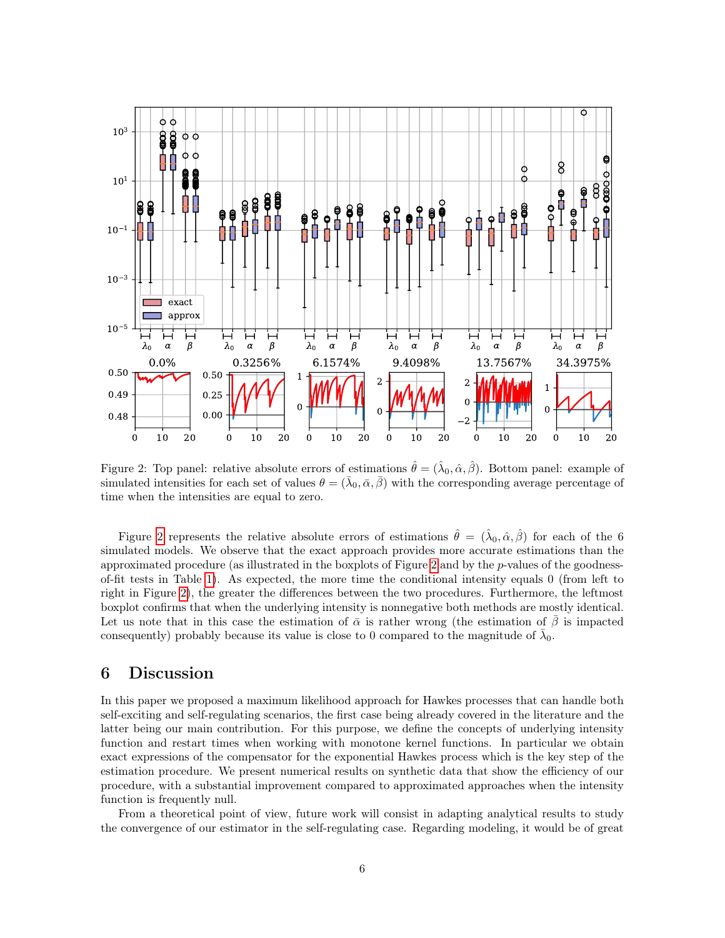<span id="page-5-0"></span>

Figure 2: Top panel: relative absolute errors of estimations  $\hat{\theta} = (\hat{\lambda}_0, \hat{\alpha}, \hat{\beta})$ . Bottom panel: example of simulated intensities for each set of values  $\theta = (\bar{\lambda}_0, \bar{\alpha}, \bar{\beta})$  with the corresponding average percentage of time when the intensities are equal to zero.

Figure [2](#page-5-0) represents the relative absolute errors of estimations  $\hat{\theta} = (\hat{\lambda}_0, \hat{\alpha}, \hat{\beta})$  for each of the 6 simulated models. We observe that the exact approach provides more accurate estimations than the approximated procedure (as illustrated in the boxplots of Figure [2](#page-5-0) and by the p-values of the goodnessof-fit tests in Table [1\)](#page-6-6). As expected, the more time the conditional intensity equals 0 (from left to right in Figure [2\)](#page-5-0), the greater the differences between the two procedures. Furthermore, the leftmost boxplot confirms that when the underlying intensity is nonnegative both methods are mostly identical. Let us note that in this case the estimation of  $\bar{\alpha}$  is rather wrong (the estimation of  $\beta$  is impacted consequently) probably because its value is close to 0 compared to the magnitude of  $\bar{\lambda}_0$ .

#### 6 Discussion

In this paper we proposed a maximum likelihood approach for Hawkes processes that can handle both self-exciting and self-regulating scenarios, the first case being already covered in the literature and the latter being our main contribution. For this purpose, we define the concepts of underlying intensity function and restart times when working with monotone kernel functions. In particular we obtain exact expressions of the compensator for the exponential Hawkes process which is the key step of the estimation procedure. We present numerical results on synthetic data that show the efficiency of our procedure, with a substantial improvement compared to approximated approaches when the intensity function is frequently null.

From a theoretical point of view, future work will consist in adapting analytical results to study the convergence of our estimator in the self-regulating case. Regarding modeling, it would be of great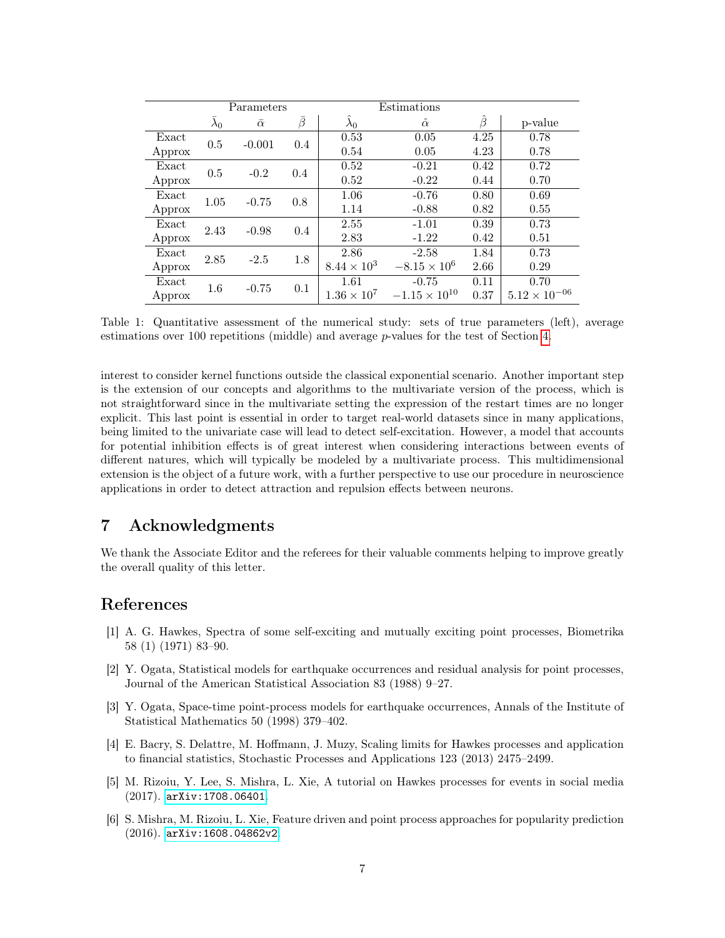<span id="page-6-6"></span>

|        | Parameters             |                |     | Estimations             |                        |               |                        |
|--------|------------------------|----------------|-----|-------------------------|------------------------|---------------|------------------------|
|        | $\overline{\lambda}_0$ | $\bar{\alpha}$ | ā   | $\widetilde{\lambda}_0$ | $\hat{\alpha}$         | $\hat{\beta}$ | p-value                |
| Exact  | 0.5                    | $-0.001$       | 0.4 | 0.53                    | 0.05                   | 4.25          | 0.78                   |
| Approx |                        |                |     | 0.54                    | 0.05                   | 4.23          | 0.78                   |
| Exact  | 0.5                    | $-0.2$         | 0.4 | 0.52                    | $-0.21$                | 0.42          | 0.72                   |
| Approx |                        |                |     | 0.52                    | $-0.22$                | 0.44          | 0.70                   |
| Exact  | 1.05                   | $-0.75$        | 0.8 | 1.06                    | $-0.76$                | 0.80          | 0.69                   |
| Approx |                        |                |     | 1.14                    | $-0.88$                | 0.82          | 0.55                   |
| Exact  | 2.43                   | $-0.98$        | 0.4 | 2.55                    | $-1.01$                | 0.39          | 0.73                   |
| Approx |                        |                |     | 2.83                    | $-1.22$                | 0.42          | 0.51                   |
| Exact  | 2.85                   | $-2.5$         | 1.8 | 2.86                    | $-2.58$                | 1.84          | 0.73                   |
| Approx |                        |                |     | $8.44 \times 10^{3}$    | $-8.15 \times 10^{6}$  | 2.66          | 0.29                   |
| Exact  | 1.6                    | $-0.75$        | 0.1 | 1.61                    | $-0.75$                | 0.11          | 0.70                   |
| Approx |                        |                |     | $1.36 \times 10^{7}$    | $-1.15 \times 10^{10}$ | 0.37          | $5.12 \times 10^{-06}$ |

Table 1: Quantitative assessment of the numerical study: sets of true parameters (left), average estimations over 100 repetitions (middle) and average p-values for the test of Section [4.](#page-4-0)

interest to consider kernel functions outside the classical exponential scenario. Another important step is the extension of our concepts and algorithms to the multivariate version of the process, which is not straightforward since in the multivariate setting the expression of the restart times are no longer explicit. This last point is essential in order to target real-world datasets since in many applications, being limited to the univariate case will lead to detect self-excitation. However, a model that accounts for potential inhibition effects is of great interest when considering interactions between events of different natures, which will typically be modeled by a multivariate process. This multidimensional extension is the object of a future work, with a further perspective to use our procedure in neuroscience applications in order to detect attraction and repulsion effects between neurons.

# 7 Acknowledgments

We thank the Associate Editor and the referees for their valuable comments helping to improve greatly the overall quality of this letter.

# References

- <span id="page-6-0"></span>[1] A. G. Hawkes, Spectra of some self-exciting and mutually exciting point processes, Biometrika 58 (1) (1971) 83–90.
- <span id="page-6-1"></span>[2] Y. Ogata, Statistical models for earthquake occurrences and residual analysis for point processes, Journal of the American Statistical Association 83 (1988) 9–27.
- <span id="page-6-2"></span>[3] Y. Ogata, Space-time point-process models for earthquake occurrences, Annals of the Institute of Statistical Mathematics 50 (1998) 379–402.
- <span id="page-6-3"></span>[4] E. Bacry, S. Delattre, M. Hoffmann, J. Muzy, Scaling limits for Hawkes processes and application to financial statistics, Stochastic Processes and Applications 123 (2013) 2475–2499.
- <span id="page-6-4"></span>[5] M. Rizoiu, Y. Lee, S. Mishra, L. Xie, A tutorial on Hawkes processes for events in social media (2017). [arXiv:1708.06401](http://arxiv.org/abs/1708.06401).
- <span id="page-6-5"></span>[6] S. Mishra, M. Rizoiu, L. Xie, Feature driven and point process approaches for popularity prediction (2016). [arXiv:1608.04862v2](http://arxiv.org/abs/1608.04862v2).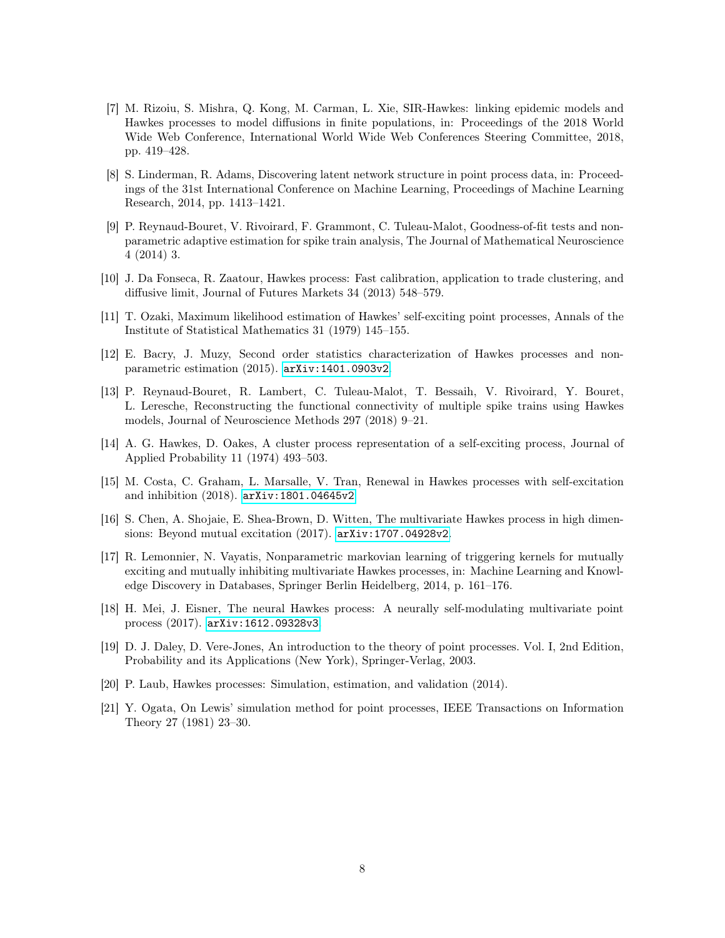- <span id="page-7-0"></span>[7] M. Rizoiu, S. Mishra, Q. Kong, M. Carman, L. Xie, SIR-Hawkes: linking epidemic models and Hawkes processes to model diffusions in finite populations, in: Proceedings of the 2018 World Wide Web Conference, International World Wide Web Conferences Steering Committee, 2018, pp. 419–428.
- <span id="page-7-1"></span>[8] S. Linderman, R. Adams, Discovering latent network structure in point process data, in: Proceedings of the 31st International Conference on Machine Learning, Proceedings of Machine Learning Research, 2014, pp. 1413–1421.
- <span id="page-7-2"></span>[9] P. Reynaud-Bouret, V. Rivoirard, F. Grammont, C. Tuleau-Malot, Goodness-of-fit tests and nonparametric adaptive estimation for spike train analysis, The Journal of Mathematical Neuroscience 4 (2014) 3.
- <span id="page-7-3"></span>[10] J. Da Fonseca, R. Zaatour, Hawkes process: Fast calibration, application to trade clustering, and diffusive limit, Journal of Futures Markets 34 (2013) 548–579.
- <span id="page-7-4"></span>[11] T. Ozaki, Maximum likelihood estimation of Hawkes' self-exciting point processes, Annals of the Institute of Statistical Mathematics 31 (1979) 145–155.
- <span id="page-7-5"></span>[12] E. Bacry, J. Muzy, Second order statistics characterization of Hawkes processes and nonparametric estimation (2015). [arXiv:1401.0903v2](http://arxiv.org/abs/1401.0903v2).
- <span id="page-7-6"></span>[13] P. Reynaud-Bouret, R. Lambert, C. Tuleau-Malot, T. Bessaih, V. Rivoirard, Y. Bouret, L. Leresche, Reconstructing the functional connectivity of multiple spike trains using Hawkes models, Journal of Neuroscience Methods 297 (2018) 9–21.
- <span id="page-7-7"></span>[14] A. G. Hawkes, D. Oakes, A cluster process representation of a self-exciting process, Journal of Applied Probability 11 (1974) 493–503.
- <span id="page-7-8"></span>[15] M. Costa, C. Graham, L. Marsalle, V. Tran, Renewal in Hawkes processes with self-excitation and inhibition (2018). [arXiv:1801.04645v2](http://arxiv.org/abs/1801.04645v2).
- <span id="page-7-9"></span>[16] S. Chen, A. Shojaie, E. Shea-Brown, D. Witten, The multivariate Hawkes process in high dimensions: Beyond mutual excitation (2017). [arXiv:1707.04928v2](http://arxiv.org/abs/1707.04928v2).
- <span id="page-7-10"></span>[17] R. Lemonnier, N. Vayatis, Nonparametric markovian learning of triggering kernels for mutually exciting and mutually inhibiting multivariate Hawkes processes, in: Machine Learning and Knowledge Discovery in Databases, Springer Berlin Heidelberg, 2014, p. 161–176.
- <span id="page-7-11"></span>[18] H. Mei, J. Eisner, The neural Hawkes process: A neurally self-modulating multivariate point process (2017). [arXiv:1612.09328v3](http://arxiv.org/abs/1612.09328v3).
- <span id="page-7-12"></span>[19] D. J. Daley, D. Vere-Jones, An introduction to the theory of point processes. Vol. I, 2nd Edition, Probability and its Applications (New York), Springer-Verlag, 2003.
- <span id="page-7-13"></span>[20] P. Laub, Hawkes processes: Simulation, estimation, and validation (2014).
- <span id="page-7-14"></span>[21] Y. Ogata, On Lewis' simulation method for point processes, IEEE Transactions on Information Theory 27 (1981) 23–30.